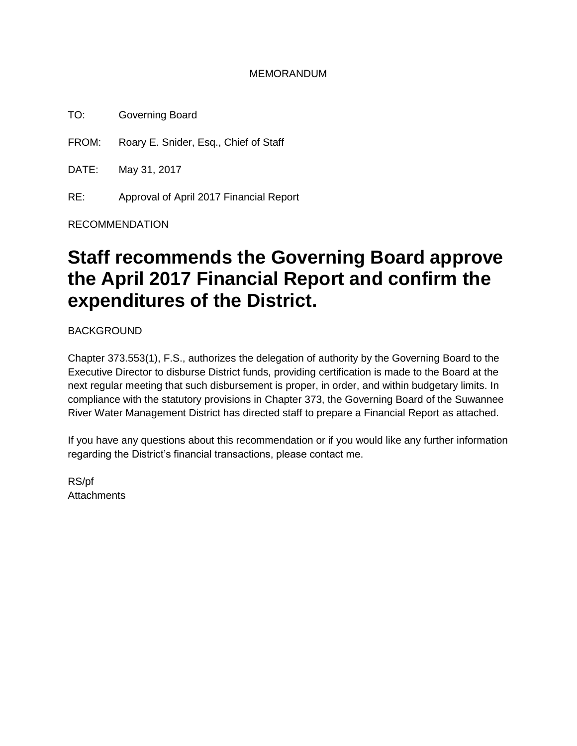### MEMORANDUM

TO: Governing Board

FROM: Roary E. Snider, Esq., Chief of Staff

DATE: May 31, 2017

RE: Approval of April 2017 Financial Report

RECOMMENDATION

# **Staff recommends the Governing Board approve the April 2017 Financial Report and confirm the expenditures of the District.**

BACKGROUND

Chapter 373.553(1), F.S., authorizes the delegation of authority by the Governing Board to the Executive Director to disburse District funds, providing certification is made to the Board at the next regular meeting that such disbursement is proper, in order, and within budgetary limits. In compliance with the statutory provisions in Chapter 373, the Governing Board of the Suwannee River Water Management District has directed staff to prepare a Financial Report as attached.

If you have any questions about this recommendation or if you would like any further information regarding the District's financial transactions, please contact me.

RS/pf **Attachments**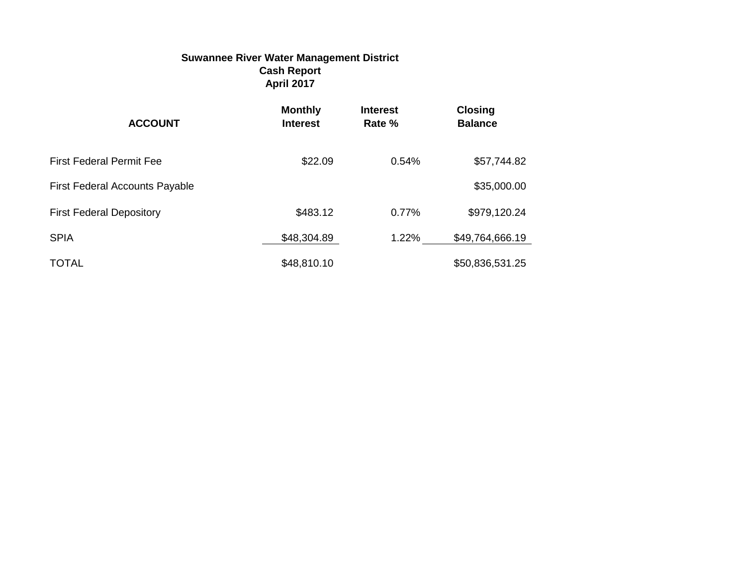### **Suwannee River Water Management District Cash Report April 2017**

| <b>ACCOUNT</b>                        | <b>Monthly</b><br><b>Interest</b> | <b>Interest</b><br>Rate % | <b>Closing</b><br><b>Balance</b> |
|---------------------------------------|-----------------------------------|---------------------------|----------------------------------|
| <b>First Federal Permit Fee</b>       | \$22.09                           | 0.54%                     | \$57,744.82                      |
| <b>First Federal Accounts Payable</b> |                                   |                           | \$35,000.00                      |
| <b>First Federal Depository</b>       | \$483.12                          | 0.77%                     | \$979,120.24                     |
| <b>SPIA</b>                           | \$48,304.89                       | 1.22%                     | \$49,764,666.19                  |
| <b>TOTAL</b>                          | \$48,810.10                       |                           | \$50,836,531.25                  |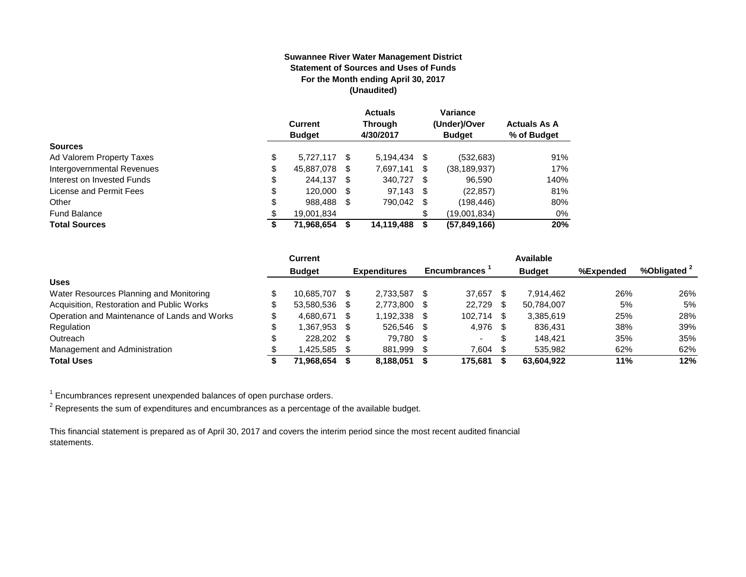#### **Suwannee River Water Management District Statement of Sources and Uses of Funds For the Month ending April 30, 2017 (Unaudited)**

|                            | <b>Current</b><br><b>Budget</b> |   | <b>Actuals</b><br>Through<br>4/30/2017 |      | Variance<br>(Under)/Over<br><b>Budget</b> | <b>Actuals As A</b><br>% of Budget |
|----------------------------|---------------------------------|---|----------------------------------------|------|-------------------------------------------|------------------------------------|
| <b>Sources</b>             |                                 |   |                                        |      |                                           |                                    |
| Ad Valorem Property Taxes  | \$<br>5.727.117 \$              |   | 5,194,434                              | - \$ | (532, 683)                                | 91%                                |
| Intergovernmental Revenues | \$<br>45,887,078                | S | 7.697.141                              | \$   | (38, 189, 937)                            | 17%                                |
| Interest on Invested Funds | \$<br>244.137 \$                |   | 340.727 \$                             |      | 96.590                                    | 140%                               |
| License and Permit Fees    | \$<br>120,000 \$                |   | $97.143$ \$                            |      | (22, 857)                                 | 81%                                |
| Other                      | \$<br>988.488                   | S | 790.042 \$                             |      | (198, 446)                                | 80%                                |
| <b>Fund Balance</b>        | \$<br>19,001,834                |   |                                        | \$   | (19,001,834)                              | $0\%$                              |
| <b>Total Sources</b>       | \$<br>71,968,654                |   | 14,119,488                             | S    | (57, 849, 166)                            | 20%                                |

|                                              | Current       |      |                     |      |                     |    | Available     |           |                         |
|----------------------------------------------|---------------|------|---------------------|------|---------------------|----|---------------|-----------|-------------------------|
|                                              | <b>Budget</b> |      | <b>Expenditures</b> |      | <b>Encumbrances</b> |    | <b>Budget</b> | %Expended | %Obligated <sup>2</sup> |
| <b>Uses</b>                                  |               |      |                     |      |                     |    |               |           |                         |
| Water Resources Planning and Monitoring      | 10.685.707    | - \$ | 2.733.587           |      | 37.657              |    | 7.914.462     | 26%       | 26%                     |
| Acquisition, Restoration and Public Works    | 53,580,536 \$ |      | 2.773.800           |      | 22,729              | S. | 50.784.007    | 5%        | 5%                      |
| Operation and Maintenance of Lands and Works | 4.680.671     | - \$ | 1.192.338           | - \$ | 102.714             | -S | 3,385,619     | 25%       | 28%                     |
| Regulation                                   | 1.367.953 \$  |      | 526.546             | - \$ | 4,976 \$            |    | 836.431       | 38%       | 39%                     |
| Outreach                                     | 228,202 \$    |      | 79.780              | - \$ | $\sim$              | S  | 148.421       | 35%       | 35%                     |
| Management and Administration                | 1.425.585     |      | 881,999             |      | 7.604               |    | 535.982       | 62%       | 62%                     |
| <b>Total Uses</b>                            | 71.968.654    |      | 8,188,051           |      | 175.681             |    | 63.604.922    | 11%       | 12%                     |

 $1$  Encumbrances represent unexpended balances of open purchase orders.

 $^2$  Represents the sum of expenditures and encumbrances as a percentage of the available budget.

This financial statement is prepared as of April 30, 2017 and covers the interim period since the most recent audited financial statements.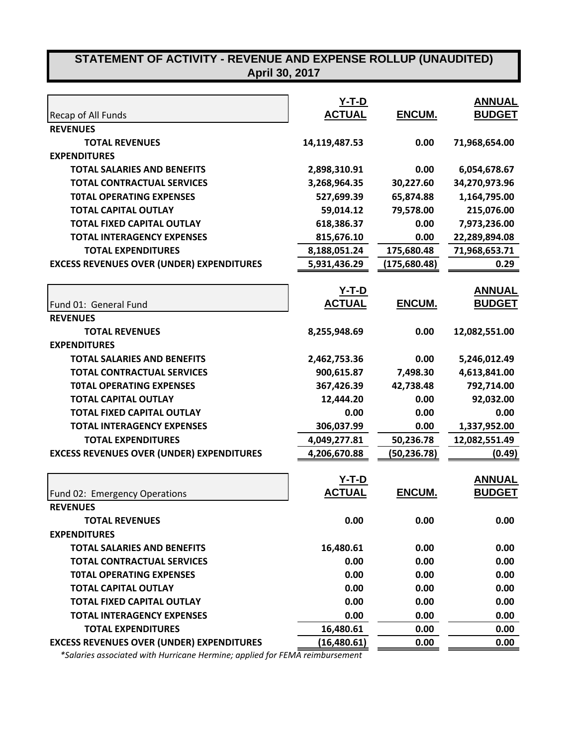# **STATEMENT OF ACTIVITY - REVENUE AND EXPENSE ROLLUP (UNAUDITED)**

| <b>April 30, 2017</b> |
|-----------------------|
|-----------------------|

|                                                  | $Y-T-D$       |              | <b>ANNUAL</b> |
|--------------------------------------------------|---------------|--------------|---------------|
| Recap of All Funds                               | <b>ACTUAL</b> | ENCUM.       | <b>BUDGET</b> |
| <b>REVENUES</b>                                  |               |              |               |
| <b>TOTAL REVENUES</b>                            | 14,119,487.53 | 0.00         | 71,968,654.00 |
| <b>EXPENDITURES</b>                              |               |              |               |
| <b>TOTAL SALARIES AND BENEFITS</b>               | 2,898,310.91  | 0.00         | 6,054,678.67  |
| <b>TOTAL CONTRACTUAL SERVICES</b>                | 3,268,964.35  | 30,227.60    | 34,270,973.96 |
| <b>TOTAL OPERATING EXPENSES</b>                  | 527,699.39    | 65,874.88    | 1,164,795.00  |
| <b>TOTAL CAPITAL OUTLAY</b>                      | 59,014.12     | 79,578.00    | 215,076.00    |
| <b>TOTAL FIXED CAPITAL OUTLAY</b>                | 618,386.37    | 0.00         | 7,973,236.00  |
| <b>TOTAL INTERAGENCY EXPENSES</b>                | 815,676.10    | 0.00         | 22,289,894.08 |
| <b>TOTAL EXPENDITURES</b>                        | 8,188,051.24  | 175,680.48   | 71,968,653.71 |
| <b>EXCESS REVENUES OVER (UNDER) EXPENDITURES</b> | 5,931,436.29  | (175,680.48) | 0.29          |
|                                                  | $Y-T-D$       |              | <b>ANNUAL</b> |
| Fund 01: General Fund                            | <b>ACTUAL</b> | ENCUM.       | <b>BUDGET</b> |
| <b>REVENUES</b>                                  |               |              |               |
| <b>TOTAL REVENUES</b>                            | 8,255,948.69  | 0.00         | 12,082,551.00 |
| <b>EXPENDITURES</b>                              |               |              |               |
| <b>TOTAL SALARIES AND BENEFITS</b>               | 2,462,753.36  | 0.00         | 5,246,012.49  |
| <b>TOTAL CONTRACTUAL SERVICES</b>                | 900,615.87    | 7,498.30     | 4,613,841.00  |
| <b>TOTAL OPERATING EXPENSES</b>                  | 367,426.39    | 42,738.48    | 792,714.00    |
| <b>TOTAL CAPITAL OUTLAY</b>                      | 12,444.20     | 0.00         | 92,032.00     |
| <b>TOTAL FIXED CAPITAL OUTLAY</b>                | 0.00          | 0.00         | 0.00          |
| <b>TOTAL INTERAGENCY EXPENSES</b>                | 306,037.99    | 0.00         | 1,337,952.00  |
| <b>TOTAL EXPENDITURES</b>                        | 4,049,277.81  | 50,236.78    | 12,082,551.49 |
| <b>EXCESS REVENUES OVER (UNDER) EXPENDITURES</b> | 4,206,670.88  | (50,236.78)  | (0.49)        |
|                                                  | <u>Y-T-D</u>  |              | <b>ANNUAL</b> |
| Fund 02: Emergency Operations                    | <b>ACTUAL</b> | ENCUM.       | <b>BUDGET</b> |
| <b>REVENUES</b>                                  |               |              |               |
| <b>TOTAL REVENUES</b>                            | 0.00          | 0.00         | 0.00          |
| <b>EXPENDITURES</b>                              |               |              |               |
| <b>TOTAL SALARIES AND BENEFITS</b>               | 16,480.61     | 0.00         | 0.00          |
| <b>TOTAL CONTRACTUAL SERVICES</b>                | 0.00          | 0.00         | 0.00          |
| <b>TOTAL OPERATING EXPENSES</b>                  | 0.00          | 0.00         | 0.00          |
| <b>TOTAL CAPITAL OUTLAY</b>                      | 0.00          | 0.00         | 0.00          |
| <b>TOTAL FIXED CAPITAL OUTLAY</b>                | 0.00          | 0.00         | 0.00          |
| <b>TOTAL INTERAGENCY EXPENSES</b>                | 0.00          | 0.00         | 0.00          |
| <b>TOTAL EXPENDITURES</b>                        | 16,480.61     | 0.00         | 0.00          |
| <b>EXCESS REVENUES OVER (UNDER) EXPENDITURES</b> | (16, 480.61)  | 0.00         | 0.00          |

 *\*Salaries associated with Hurricane Hermine; applied for FEMA reimbursement*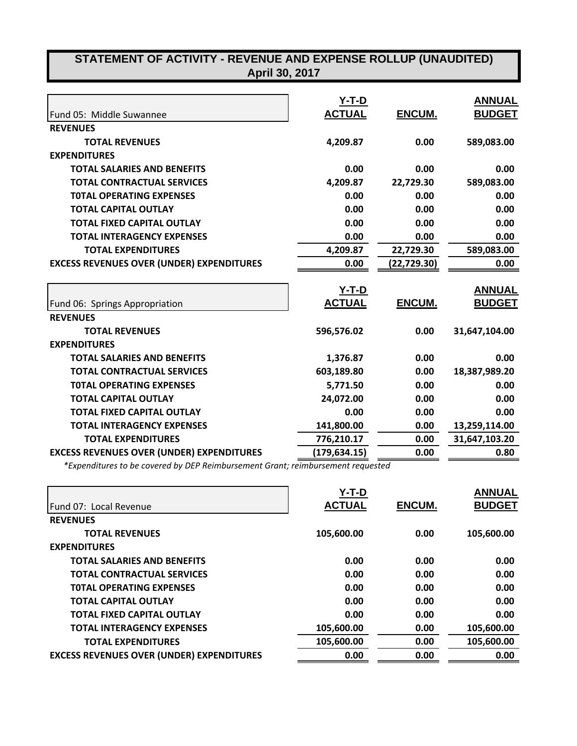| STATEMENT OF ACTIVITY - REVENUE AND EXPENSE ROLLUP (UNAUDITED)<br>April 30, 2017 |                          |              |                                |  |  |
|----------------------------------------------------------------------------------|--------------------------|--------------|--------------------------------|--|--|
| Fund 05: Middle Suwannee                                                         | $Y-T-D$<br><b>ACTUAL</b> | ENCUM.       | <b>ANNUAL</b><br><b>BUDGET</b> |  |  |
| <b>REVENUES</b>                                                                  |                          |              |                                |  |  |
| <b>TOTAL REVENUES</b>                                                            | 4,209.87                 | 0.00         | 589,083.00                     |  |  |
| <b>EXPENDITURES</b>                                                              |                          |              |                                |  |  |
| <b>TOTAL SALARIES AND BENEFITS</b>                                               | 0.00                     | 0.00         | 0.00                           |  |  |
| <b>TOTAL CONTRACTUAL SERVICES</b>                                                | 4,209.87                 | 22,729.30    | 589,083.00                     |  |  |
| <b>TOTAL OPERATING EXPENSES</b>                                                  | 0.00                     | 0.00         | 0.00                           |  |  |
| <b>TOTAL CAPITAL OUTLAY</b>                                                      | 0.00                     | 0.00         | 0.00                           |  |  |
| <b>TOTAL FIXED CAPITAL OUTLAY</b>                                                | 0.00                     | 0.00         | 0.00                           |  |  |
| <b>TOTAL INTERAGENCY EXPENSES</b>                                                | 0.00                     | 0.00         | 0.00                           |  |  |
| <b>TOTAL EXPENDITURES</b>                                                        | 4,209.87                 | 22,729.30    | 589,083.00                     |  |  |
| <b>EXCESS REVENUES OVER (UNDER) EXPENDITURES</b>                                 | 0.00                     | (22, 729.30) | 0.00                           |  |  |
|                                                                                  | $Y-T-D$                  |              | <b>ANNUAL</b>                  |  |  |
| Fund 06: Springs Appropriation                                                   | <b>ACTUAL</b>            | ENCUM.       | <u>BUDGET</u>                  |  |  |
| <b>REVENUES</b>                                                                  |                          |              |                                |  |  |
| <b>TOTAL REVENUES</b>                                                            | 596,576.02               | 0.00         | 31,647,104.00                  |  |  |
| <b>EXPENDITURES</b>                                                              |                          |              |                                |  |  |
| <b>TOTAL SALARIES AND BENEFITS</b>                                               | 1,376.87                 | 0.00         | 0.00                           |  |  |
| <b>TOTAL CONTRACTUAL SERVICES</b>                                                | 603,189.80               | 0.00         | 18,387,989.20                  |  |  |
| <b>TOTAL OPERATING EXPENSES</b>                                                  | 5,771.50                 | 0.00         | 0.00                           |  |  |
| <b>TOTAL CAPITAL OUTLAY</b>                                                      | 24,072.00                | 0.00         | 0.00                           |  |  |
| <b>TOTAL FIXED CAPITAL OUTLAY</b>                                                | 0.00                     | 0.00         | 0.00                           |  |  |
| <b>TOTAL INTERAGENCY EXPENSES</b>                                                | 141,800.00               | 0.00         | 13,259,114.00                  |  |  |
| <b>TOTAL EXPENDITURES</b>                                                        | 776,210.17               | 0.00         | 31,647,103.20                  |  |  |
| <b>EXCESS REVENUES OVER (UNDER) EXPENDITURES</b>                                 | (179, 634.15)            | 0.00         | 0.80                           |  |  |

*\*Expenditures to be covered by DEP Reimbursement Grant; reimbursement requested*

|                                                  | Y-T-D         |        | <b>ANNUAL</b> |
|--------------------------------------------------|---------------|--------|---------------|
| Fund 07: Local Revenue                           | <b>ACTUAL</b> | ENCUM. | <b>BUDGET</b> |
| <b>REVENUES</b>                                  |               |        |               |
| <b>TOTAL REVENUES</b>                            | 105,600.00    | 0.00   | 105,600.00    |
| <b>EXPENDITURES</b>                              |               |        |               |
| <b>TOTAL SALARIES AND BENEFITS</b>               | 0.00          | 0.00   | 0.00          |
| <b>TOTAL CONTRACTUAL SERVICES</b>                | 0.00          | 0.00   | 0.00          |
| <b>TOTAL OPERATING EXPENSES</b>                  | 0.00          | 0.00   | 0.00          |
| <b>TOTAL CAPITAL OUTLAY</b>                      | 0.00          | 0.00   | 0.00          |
| <b>TOTAL FIXED CAPITAL OUTLAY</b>                | 0.00          | 0.00   | 0.00          |
| <b>TOTAL INTERAGENCY EXPENSES</b>                | 105,600.00    | 0.00   | 105,600.00    |
| <b>TOTAL EXPENDITURES</b>                        | 105,600.00    | 0.00   | 105,600.00    |
| <b>EXCESS REVENUES OVER (UNDER) EXPENDITURES</b> | 0.00          | 0.00   | 0.00          |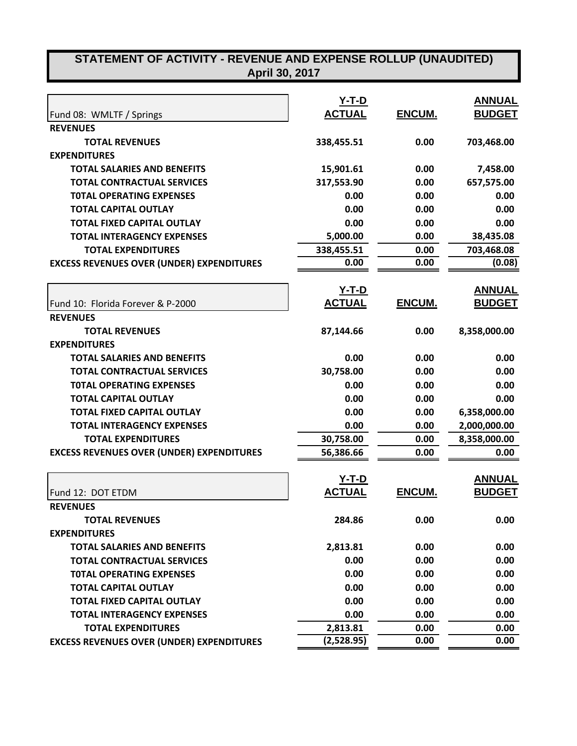| STATEMENT OF ACTIVITY - REVENUE AND EXPENSE ROLLUP (UNAUDITED)<br>April 30, 2017 |               |        |               |
|----------------------------------------------------------------------------------|---------------|--------|---------------|
|                                                                                  |               |        |               |
|                                                                                  | <u>Y-T-D</u>  |        | <b>ANNUAL</b> |
| Fund 08: WMLTF / Springs                                                         | <b>ACTUAL</b> | ENCUM. | <b>BUDGET</b> |
| <b>REVENUES</b>                                                                  |               |        |               |
| <b>TOTAL REVENUES</b>                                                            | 338,455.51    | 0.00   | 703,468.00    |
| <b>EXPENDITURES</b>                                                              |               |        |               |
| <b>TOTAL SALARIES AND BENEFITS</b>                                               | 15,901.61     | 0.00   | 7,458.00      |
| <b>TOTAL CONTRACTUAL SERVICES</b>                                                | 317,553.90    | 0.00   | 657,575.00    |
| <b>TOTAL OPERATING EXPENSES</b>                                                  | 0.00          | 0.00   | 0.00          |
| <b>TOTAL CAPITAL OUTLAY</b>                                                      | 0.00          | 0.00   | 0.00          |
| <b>TOTAL FIXED CAPITAL OUTLAY</b>                                                | 0.00          | 0.00   | 0.00          |
| <b>TOTAL INTERAGENCY EXPENSES</b>                                                | 5,000.00      | 0.00   | 38,435.08     |
| <b>TOTAL EXPENDITURES</b>                                                        | 338,455.51    | 0.00   | 703,468.08    |
| <b>EXCESS REVENUES OVER (UNDER) EXPENDITURES</b>                                 | 0.00          | 0.00   | (0.08)        |
|                                                                                  | <u>Y-T-D</u>  |        | <u>ANNUAL</u> |
| Fund 10: Florida Forever & P-2000                                                | <b>ACTUAL</b> | ENCUM. | <b>BUDGET</b> |
| <b>REVENUES</b>                                                                  |               |        |               |
| <b>TOTAL REVENUES</b>                                                            | 87,144.66     | 0.00   | 8,358,000.00  |
| <b>EXPENDITURES</b>                                                              |               |        |               |
| <b>TOTAL SALARIES AND BENEFITS</b>                                               | 0.00          | 0.00   | 0.00          |
| <b>TOTAL CONTRACTUAL SERVICES</b>                                                | 30,758.00     | 0.00   | 0.00          |
| <b>TOTAL OPERATING EXPENSES</b>                                                  | 0.00          | 0.00   | 0.00          |
| <b>TOTAL CAPITAL OUTLAY</b>                                                      | 0.00          | 0.00   | 0.00          |
| <b>TOTAL FIXED CAPITAL OUTLAY</b>                                                | 0.00          | 0.00   | 6,358,000.00  |
| <b>TOTAL INTERAGENCY EXPENSES</b>                                                | 0.00          | 0.00   | 2,000,000.00  |
| <b>TOTAL EXPENDITURES</b>                                                        | 30,758.00     | 0.00   | 8,358,000.00  |
| <b>EXCESS REVENUES OVER (UNDER) EXPENDITURES</b>                                 | 56,386.66     | 0.00   | 0.00          |
|                                                                                  |               |        |               |
|                                                                                  | <u>Y-T-D</u>  |        | <b>ANNUAL</b> |
| Fund 12: DOT ETDM                                                                | <b>ACTUAL</b> | ENCUM. | <b>BUDGET</b> |
| <b>REVENUES</b>                                                                  |               |        |               |
| <b>TOTAL REVENUES</b>                                                            | 284.86        | 0.00   | 0.00          |
| <b>EXPENDITURES</b>                                                              |               |        |               |
| <b>TOTAL SALARIES AND BENEFITS</b>                                               | 2,813.81      | 0.00   | 0.00          |
| <b>TOTAL CONTRACTUAL SERVICES</b>                                                | 0.00          | 0.00   | 0.00          |
| <b>TOTAL OPERATING EXPENSES</b>                                                  | 0.00          | 0.00   | 0.00          |
| <b>TOTAL CAPITAL OUTLAY</b>                                                      | 0.00          | 0.00   | 0.00          |
| <b>TOTAL FIXED CAPITAL OUTLAY</b>                                                | 0.00          | 0.00   | 0.00          |
| <b>TOTAL INTERAGENCY EXPENSES</b>                                                | 0.00          | 0.00   | 0.00          |
| <b>TOTAL EXPENDITURES</b>                                                        | 2,813.81      | 0.00   | 0.00          |
| <b>EXCESS REVENUES OVER (UNDER) EXPENDITURES</b>                                 | (2,528.95)    | 0.00   | 0.00          |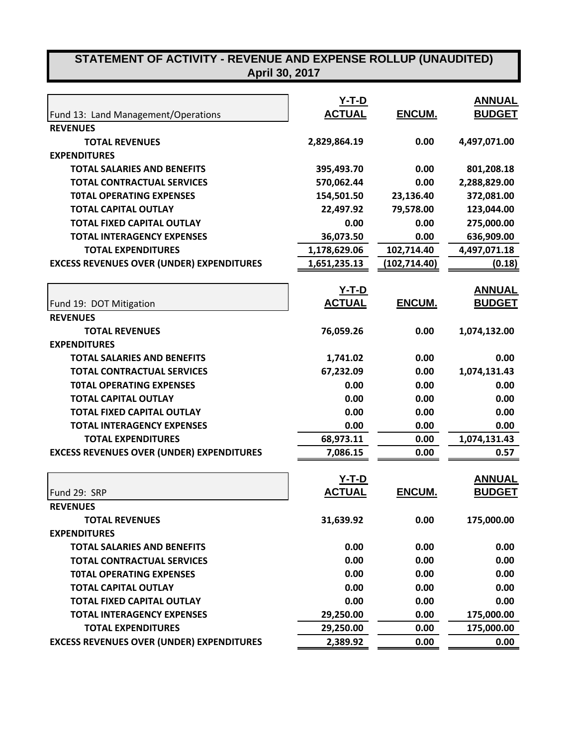# **STATEMENT OF ACTIVITY - REVENUE AND EXPENSE ROLLUP (UNAUDITED) April 30, 2017**

|                                                  | <u>Y-T-D</u>  |               | <b>ANNUAL</b> |
|--------------------------------------------------|---------------|---------------|---------------|
| Fund 13: Land Management/Operations              | <b>ACTUAL</b> | ENCUM.        | <b>BUDGET</b> |
| <b>REVENUES</b>                                  |               |               |               |
| <b>TOTAL REVENUES</b>                            | 2,829,864.19  | 0.00          | 4,497,071.00  |
| <b>EXPENDITURES</b>                              |               |               |               |
| <b>TOTAL SALARIES AND BENEFITS</b>               | 395,493.70    | 0.00          | 801,208.18    |
| <b>TOTAL CONTRACTUAL SERVICES</b>                | 570,062.44    | 0.00          | 2,288,829.00  |
| <b>TOTAL OPERATING EXPENSES</b>                  | 154,501.50    | 23,136.40     | 372,081.00    |
| <b>TOTAL CAPITAL OUTLAY</b>                      | 22,497.92     | 79,578.00     | 123,044.00    |
| <b>TOTAL FIXED CAPITAL OUTLAY</b>                | 0.00          | 0.00          | 275,000.00    |
| <b>TOTAL INTERAGENCY EXPENSES</b>                | 36,073.50     | 0.00          | 636,909.00    |
| <b>TOTAL EXPENDITURES</b>                        | 1,178,629.06  | 102,714.40    | 4,497,071.18  |
| <b>EXCESS REVENUES OVER (UNDER) EXPENDITURES</b> | 1,651,235.13  | (102, 714.40) | (0.18)        |
|                                                  | <u>Y-T-D</u>  |               | <b>ANNUAL</b> |
| Fund 19: DOT Mitigation                          | <b>ACTUAL</b> | ENCUM.        | <b>BUDGET</b> |
| <b>REVENUES</b>                                  |               |               |               |
| <b>TOTAL REVENUES</b>                            | 76,059.26     | 0.00          | 1,074,132.00  |
| <b>EXPENDITURES</b>                              |               |               |               |
| <b>TOTAL SALARIES AND BENEFITS</b>               | 1,741.02      | 0.00          | 0.00          |
| <b>TOTAL CONTRACTUAL SERVICES</b>                | 67,232.09     | 0.00          | 1,074,131.43  |
| <b>TOTAL OPERATING EXPENSES</b>                  | 0.00          | 0.00          | 0.00          |
| <b>TOTAL CAPITAL OUTLAY</b>                      | 0.00          | 0.00          | 0.00          |
| <b>TOTAL FIXED CAPITAL OUTLAY</b>                | 0.00          | 0.00          | 0.00          |
| <b>TOTAL INTERAGENCY EXPENSES</b>                | 0.00          | 0.00          | 0.00          |
| <b>TOTAL EXPENDITURES</b>                        | 68,973.11     | 0.00          | 1,074,131.43  |
| <b>EXCESS REVENUES OVER (UNDER) EXPENDITURES</b> | 7,086.15      | 0.00          | 0.57          |
|                                                  | $Y-T-D$       |               | <b>ANNUAL</b> |
| Fund 29: SRP                                     | <b>ACTUAL</b> | ENCUM.        | <b>BUDGET</b> |
| <b>REVENUES</b>                                  |               |               |               |
| <b>TOTAL REVENUES</b>                            | 31,639.92     | 0.00          | 175,000.00    |
| <b>EXPENDITURES</b>                              |               |               |               |
| <b>TOTAL SALARIES AND BENEFITS</b>               | 0.00          | 0.00          | 0.00          |
| <b>TOTAL CONTRACTUAL SERVICES</b>                | 0.00          | 0.00          | 0.00          |
| <b>TOTAL OPERATING EXPENSES</b>                  | 0.00          | 0.00          | 0.00          |
| <b>TOTAL CAPITAL OUTLAY</b>                      | 0.00          | 0.00          | 0.00          |
| <b>TOTAL FIXED CAPITAL OUTLAY</b>                | 0.00          | 0.00          | 0.00          |
| <b>TOTAL INTERAGENCY EXPENSES</b>                |               |               |               |
|                                                  | 29,250.00     | 0.00<br>0.00  | 175,000.00    |
| <b>TOTAL EXPENDITURES</b>                        | 29,250.00     |               | 175,000.00    |
| <b>EXCESS REVENUES OVER (UNDER) EXPENDITURES</b> | 2,389.92      | 0.00          | 0.00          |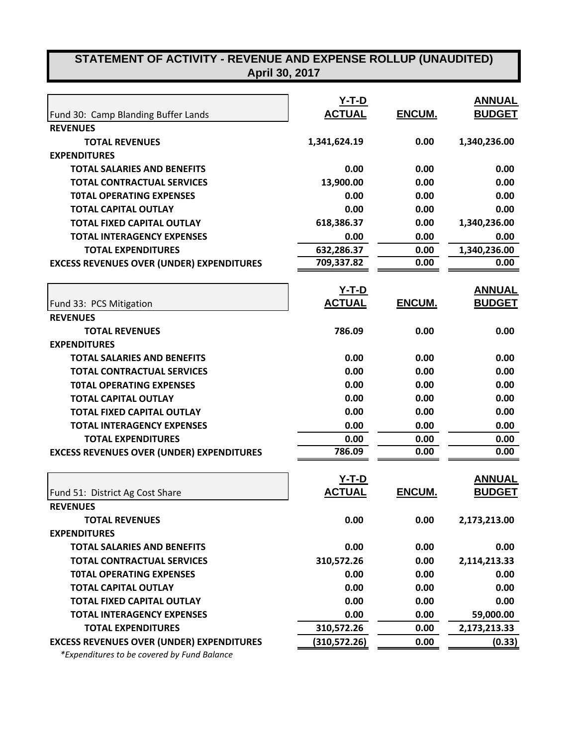# **STATEMENT OF ACTIVITY - REVENUE AND EXPENSE ROLLUP (UNAUDITED) April 30, 2017**

|                                                  | <u>Y-T-D</u>  |        | <b>ANNUAL</b> |
|--------------------------------------------------|---------------|--------|---------------|
| Fund 30: Camp Blanding Buffer Lands              | <b>ACTUAL</b> | ENCUM. | <b>BUDGET</b> |
| <b>REVENUES</b>                                  |               |        |               |
| <b>TOTAL REVENUES</b>                            | 1,341,624.19  | 0.00   | 1,340,236.00  |
| <b>EXPENDITURES</b>                              |               |        |               |
| <b>TOTAL SALARIES AND BENEFITS</b>               | 0.00          | 0.00   | 0.00          |
| <b>TOTAL CONTRACTUAL SERVICES</b>                | 13,900.00     | 0.00   | 0.00          |
| <b>TOTAL OPERATING EXPENSES</b>                  | 0.00          | 0.00   | 0.00          |
| <b>TOTAL CAPITAL OUTLAY</b>                      | 0.00          | 0.00   | 0.00          |
| <b>TOTAL FIXED CAPITAL OUTLAY</b>                | 618,386.37    | 0.00   | 1,340,236.00  |
| <b>TOTAL INTERAGENCY EXPENSES</b>                | 0.00          | 0.00   | 0.00          |
| <b>TOTAL EXPENDITURES</b>                        | 632,286.37    | 0.00   | 1,340,236.00  |
| <b>EXCESS REVENUES OVER (UNDER) EXPENDITURES</b> | 709,337.82    | 0.00   | 0.00          |
|                                                  | <u>Y-T-D</u>  |        | <b>ANNUAL</b> |
| Fund 33: PCS Mitigation                          | <b>ACTUAL</b> | ENCUM. | <b>BUDGET</b> |
| <b>REVENUES</b>                                  |               |        |               |
| <b>TOTAL REVENUES</b>                            | 786.09        | 0.00   | 0.00          |
| <b>EXPENDITURES</b>                              |               |        |               |
| <b>TOTAL SALARIES AND BENEFITS</b>               | 0.00          | 0.00   | 0.00          |
| <b>TOTAL CONTRACTUAL SERVICES</b>                | 0.00          | 0.00   | 0.00          |
| <b>TOTAL OPERATING EXPENSES</b>                  | 0.00          | 0.00   | 0.00          |
| <b>TOTAL CAPITAL OUTLAY</b>                      | 0.00          | 0.00   | 0.00          |
| <b>TOTAL FIXED CAPITAL OUTLAY</b>                | 0.00          | 0.00   | 0.00          |
| <b>TOTAL INTERAGENCY EXPENSES</b>                | 0.00          | 0.00   | 0.00          |
| <b>TOTAL EXPENDITURES</b>                        | 0.00          | 0.00   | 0.00          |
| <b>EXCESS REVENUES OVER (UNDER) EXPENDITURES</b> | 786.09        | 0.00   | 0.00          |
|                                                  | $Y-T-D$       |        | <b>ANNUAL</b> |
| Fund 51: District Ag Cost Share                  | <b>ACTUAL</b> | ENCUM. | <b>BUDGET</b> |
| <b>REVENUES</b>                                  |               |        |               |
| <b>TOTAL REVENUES</b>                            | 0.00          | 0.00   | 2,173,213.00  |
| <b>EXPENDITURES</b>                              |               |        |               |
| <b>TOTAL SALARIES AND BENEFITS</b>               | 0.00          | 0.00   | 0.00          |
| <b>TOTAL CONTRACTUAL SERVICES</b>                | 310,572.26    | 0.00   | 2,114,213.33  |
| <b>TOTAL OPERATING EXPENSES</b>                  | 0.00          | 0.00   | 0.00          |
| <b>TOTAL CAPITAL OUTLAY</b>                      | 0.00          | 0.00   | 0.00          |
| <b>TOTAL FIXED CAPITAL OUTLAY</b>                | 0.00          | 0.00   | 0.00          |
| <b>TOTAL INTERAGENCY EXPENSES</b>                | 0.00          | 0.00   | 59,000.00     |
| <b>TOTAL EXPENDITURES</b>                        | 310,572.26    | 0.00   | 2,173,213.33  |
| <b>EXCESS REVENUES OVER (UNDER) EXPENDITURES</b> | (310, 572.26) | 0.00   | (0.33)        |
|                                                  |               |        |               |

 *\*Expenditures to be covered by Fund Balance*